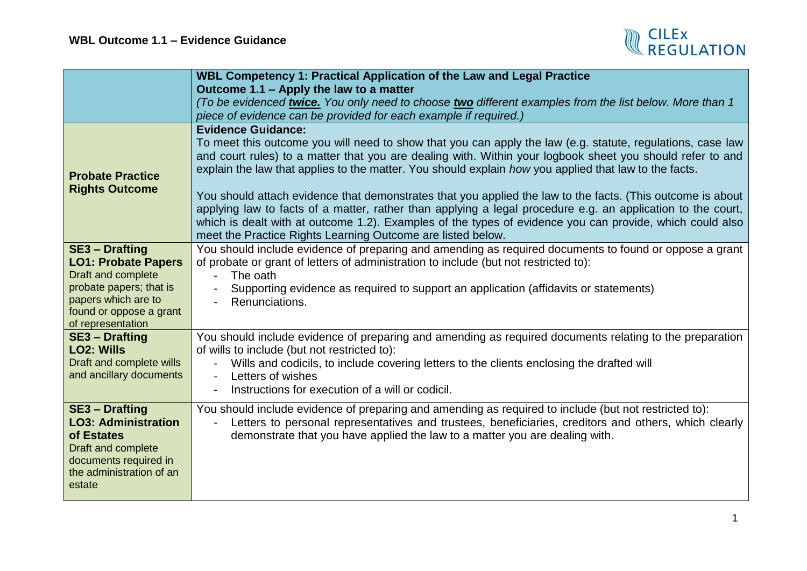

|                                                   | WBL Competency 1: Practical Application of the Law and Legal Practice                                                                                                   |
|---------------------------------------------------|-------------------------------------------------------------------------------------------------------------------------------------------------------------------------|
|                                                   | Outcome 1.1 – Apply the law to a matter                                                                                                                                 |
|                                                   | To be evidenced twice. You only need to choose two different examples from the list below. More than 1                                                                  |
|                                                   | piece of evidence can be provided for each example if required.)                                                                                                        |
|                                                   | <b>Evidence Guidance:</b>                                                                                                                                               |
|                                                   | To meet this outcome you will need to show that you can apply the law (e.g. statute, regulations, case law                                                              |
|                                                   | and court rules) to a matter that you are dealing with. Within your logbook sheet you should refer to and                                                               |
| <b>Probate Practice</b>                           | explain the law that applies to the matter. You should explain how you applied that law to the facts.                                                                   |
| <b>Rights Outcome</b>                             |                                                                                                                                                                         |
|                                                   | You should attach evidence that demonstrates that you applied the law to the facts. (This outcome is about                                                              |
|                                                   | applying law to facts of a matter, rather than applying a legal procedure e.g. an application to the court,                                                             |
|                                                   | which is dealt with at outcome 1.2). Examples of the types of evidence you can provide, which could also<br>meet the Practice Rights Learning Outcome are listed below. |
| <b>SE3 - Drafting</b>                             | You should include evidence of preparing and amending as required documents to found or oppose a grant                                                                  |
| <b>LO1: Probate Papers</b>                        | of probate or grant of letters of administration to include (but not restricted to):                                                                                    |
| Draft and complete                                | The oath                                                                                                                                                                |
| probate papers; that is                           | Supporting evidence as required to support an application (affidavits or statements)                                                                                    |
| papers which are to                               | Renunciations.                                                                                                                                                          |
| found or oppose a grant                           |                                                                                                                                                                         |
| of representation                                 |                                                                                                                                                                         |
| <b>SE3 - Drafting</b>                             | You should include evidence of preparing and amending as required documents relating to the preparation                                                                 |
| <b>LO2: Wills</b>                                 | of wills to include (but not restricted to):                                                                                                                            |
| Draft and complete wills                          | Wills and codicils, to include covering letters to the clients enclosing the drafted will<br>$\blacksquare$                                                             |
| and ancillary documents                           | Letters of wishes                                                                                                                                                       |
|                                                   | Instructions for execution of a will or codicil.                                                                                                                        |
| <b>SE3 - Drafting</b>                             | You should include evidence of preparing and amending as required to include (but not restricted to):                                                                   |
| <b>LO3: Administration</b>                        | Letters to personal representatives and trustees, beneficiaries, creditors and others, which clearly                                                                    |
| of Estates                                        | demonstrate that you have applied the law to a matter you are dealing with.                                                                                             |
| Draft and complete                                |                                                                                                                                                                         |
| documents required in<br>the administration of an |                                                                                                                                                                         |
| estate                                            |                                                                                                                                                                         |
|                                                   |                                                                                                                                                                         |